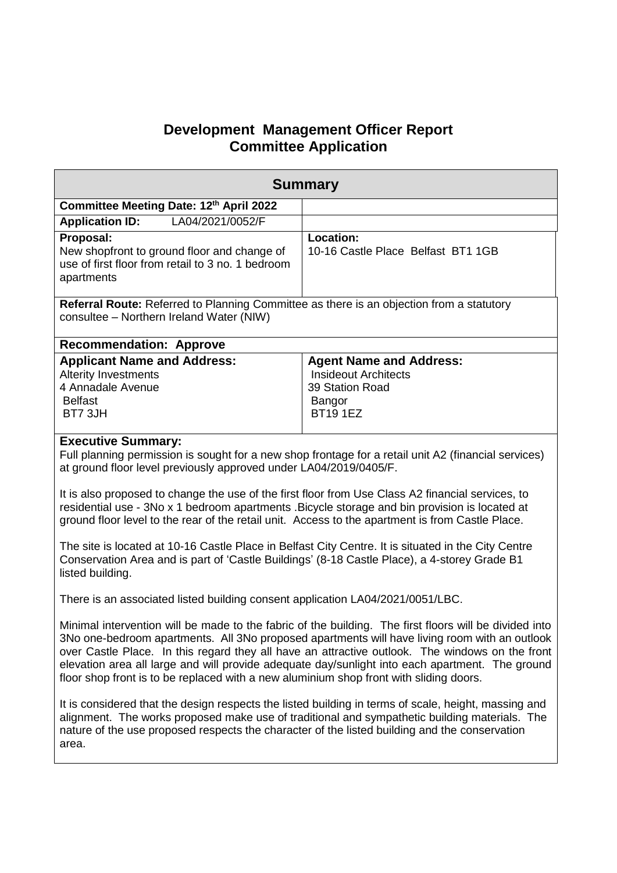## **Development Management Officer Report Committee Application**

| <b>Summary</b>                                                                                                                                                                                                                                                                                                                                                                                                                                                                                                                                                                                                                                                                                                                                                                                                                                                                                                                                                                                                                                                                                                                                                                                                                                                                                                                                                                                                                                    |                                                                                                              |  |
|---------------------------------------------------------------------------------------------------------------------------------------------------------------------------------------------------------------------------------------------------------------------------------------------------------------------------------------------------------------------------------------------------------------------------------------------------------------------------------------------------------------------------------------------------------------------------------------------------------------------------------------------------------------------------------------------------------------------------------------------------------------------------------------------------------------------------------------------------------------------------------------------------------------------------------------------------------------------------------------------------------------------------------------------------------------------------------------------------------------------------------------------------------------------------------------------------------------------------------------------------------------------------------------------------------------------------------------------------------------------------------------------------------------------------------------------------|--------------------------------------------------------------------------------------------------------------|--|
| Committee Meeting Date: 12th April 2022                                                                                                                                                                                                                                                                                                                                                                                                                                                                                                                                                                                                                                                                                                                                                                                                                                                                                                                                                                                                                                                                                                                                                                                                                                                                                                                                                                                                           |                                                                                                              |  |
| LA04/2021/0052/F<br><b>Application ID:</b>                                                                                                                                                                                                                                                                                                                                                                                                                                                                                                                                                                                                                                                                                                                                                                                                                                                                                                                                                                                                                                                                                                                                                                                                                                                                                                                                                                                                        |                                                                                                              |  |
| Proposal:<br>New shopfront to ground floor and change of<br>use of first floor from retail to 3 no. 1 bedroom<br>apartments                                                                                                                                                                                                                                                                                                                                                                                                                                                                                                                                                                                                                                                                                                                                                                                                                                                                                                                                                                                                                                                                                                                                                                                                                                                                                                                       | <b>Location:</b><br>10-16 Castle Place Belfast BT1 1GB                                                       |  |
| Referral Route: Referred to Planning Committee as there is an objection from a statutory<br>consultee - Northern Ireland Water (NIW)                                                                                                                                                                                                                                                                                                                                                                                                                                                                                                                                                                                                                                                                                                                                                                                                                                                                                                                                                                                                                                                                                                                                                                                                                                                                                                              |                                                                                                              |  |
| <b>Recommendation: Approve</b>                                                                                                                                                                                                                                                                                                                                                                                                                                                                                                                                                                                                                                                                                                                                                                                                                                                                                                                                                                                                                                                                                                                                                                                                                                                                                                                                                                                                                    |                                                                                                              |  |
| <b>Applicant Name and Address:</b><br><b>Alterity Investments</b><br>4 Annadale Avenue<br><b>Belfast</b><br>BT7 3JH                                                                                                                                                                                                                                                                                                                                                                                                                                                                                                                                                                                                                                                                                                                                                                                                                                                                                                                                                                                                                                                                                                                                                                                                                                                                                                                               | <b>Agent Name and Address:</b><br><b>Insideout Architects</b><br>39 Station Road<br>Bangor<br><b>BT191EZ</b> |  |
| <b>Executive Summary:</b><br>Full planning permission is sought for a new shop frontage for a retail unit A2 (financial services)<br>at ground floor level previously approved under LA04/2019/0405/F.<br>It is also proposed to change the use of the first floor from Use Class A2 financial services, to<br>residential use - 3No x 1 bedroom apartments . Bicycle storage and bin provision is located at<br>ground floor level to the rear of the retail unit. Access to the apartment is from Castle Place.<br>The site is located at 10-16 Castle Place in Belfast City Centre. It is situated in the City Centre<br>Conservation Area and is part of 'Castle Buildings' (8-18 Castle Place), a 4-storey Grade B1<br>listed building.<br>There is an associated listed building consent application LA04/2021/0051/LBC.<br>Minimal intervention will be made to the fabric of the building. The first floors will be divided into<br>3No one-bedroom apartments. All 3No proposed apartments will have living room with an outlook<br>over Castle Place. In this regard they all have an attractive outlook. The windows on the front<br>elevation area all large and will provide adequate day/sunlight into each apartment. The ground<br>floor shop front is to be replaced with a new aluminium shop front with sliding doors.<br>It is considered that the design respects the listed building in terms of scale, height, massing and |                                                                                                              |  |
| alignment. The works proposed make use of traditional and sympathetic building materials. The<br>nature of the use proposed respects the character of the listed building and the conservation<br>area.                                                                                                                                                                                                                                                                                                                                                                                                                                                                                                                                                                                                                                                                                                                                                                                                                                                                                                                                                                                                                                                                                                                                                                                                                                           |                                                                                                              |  |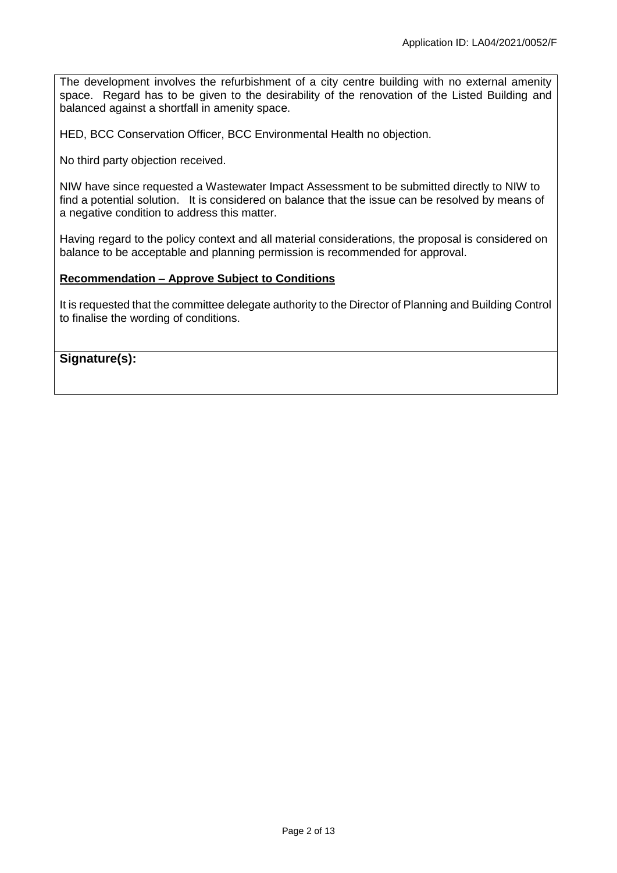The development involves the refurbishment of a city centre building with no external amenity space. Regard has to be given to the desirability of the renovation of the Listed Building and balanced against a shortfall in amenity space.

HED, BCC Conservation Officer, BCC Environmental Health no objection.

No third party objection received.

NIW have since requested a Wastewater Impact Assessment to be submitted directly to NIW to find a potential solution. It is considered on balance that the issue can be resolved by means of a negative condition to address this matter.

Having regard to the policy context and all material considerations, the proposal is considered on balance to be acceptable and planning permission is recommended for approval.

## **Recommendation – Approve Subject to Conditions**

It is requested that the committee delegate authority to the Director of Planning and Building Control to finalise the wording of conditions.

**Signature(s):**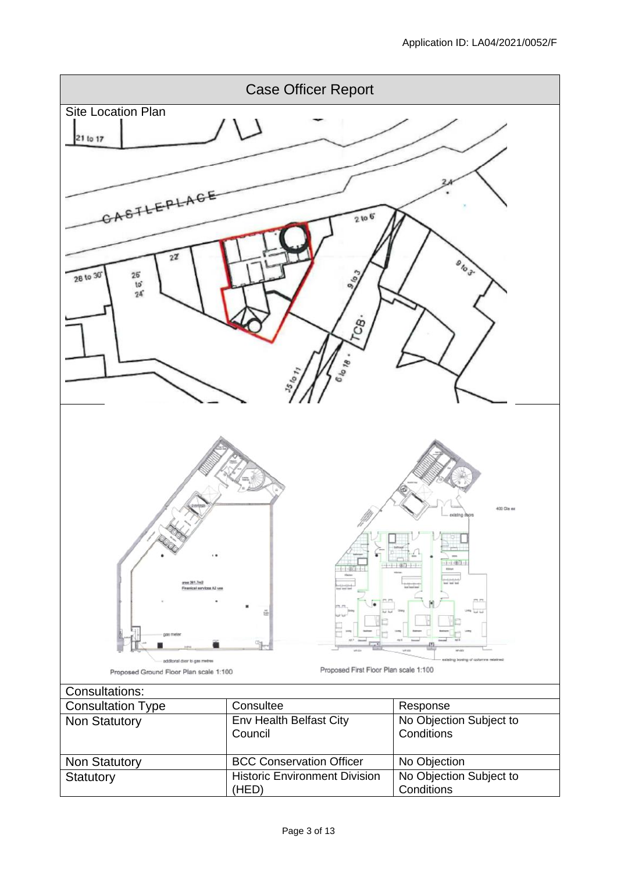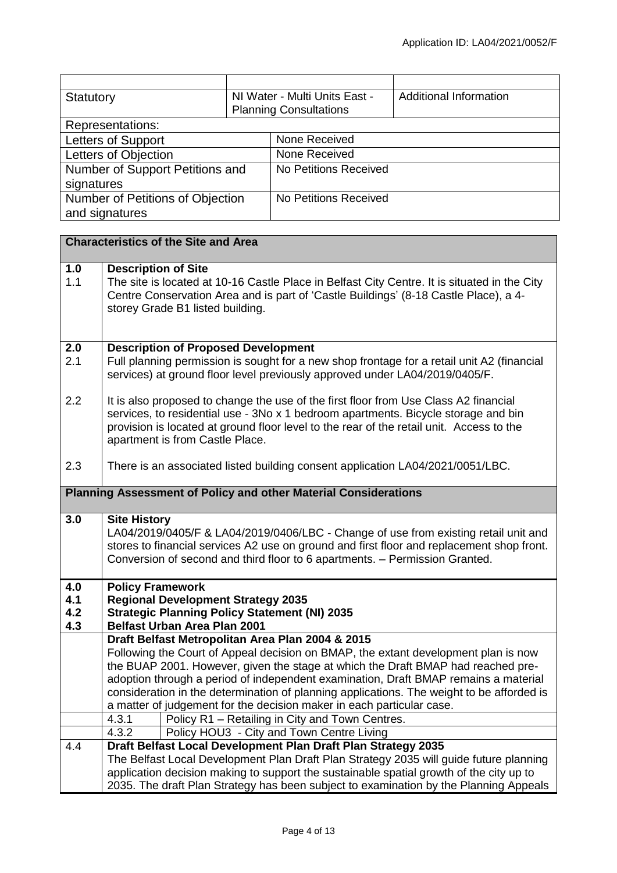| Statutory                        |  | NI Water - Multi Units East - | <b>Additional Information</b> |
|----------------------------------|--|-------------------------------|-------------------------------|
|                                  |  | <b>Planning Consultations</b> |                               |
| Representations:                 |  |                               |                               |
| Letters of Support               |  | None Received                 |                               |
| Letters of Objection             |  | None Received                 |                               |
| Number of Support Petitions and  |  | No Petitions Received         |                               |
| signatures                       |  |                               |                               |
| Number of Petitions of Objection |  | No Petitions Received         |                               |
| and signatures                   |  |                               |                               |

|                                                                 | <b>Characteristics of the Site and Area</b>                                                                                                                                                                                                                                                               |
|-----------------------------------------------------------------|-----------------------------------------------------------------------------------------------------------------------------------------------------------------------------------------------------------------------------------------------------------------------------------------------------------|
| 1.0<br>1.1                                                      | <b>Description of Site</b><br>The site is located at 10-16 Castle Place in Belfast City Centre. It is situated in the City                                                                                                                                                                                |
|                                                                 | Centre Conservation Area and is part of 'Castle Buildings' (8-18 Castle Place), a 4-<br>storey Grade B1 listed building.                                                                                                                                                                                  |
|                                                                 |                                                                                                                                                                                                                                                                                                           |
| 2.0                                                             | <b>Description of Proposed Development</b>                                                                                                                                                                                                                                                                |
| 2.1                                                             | Full planning permission is sought for a new shop frontage for a retail unit A2 (financial<br>services) at ground floor level previously approved under LA04/2019/0405/F.                                                                                                                                 |
| 2.2                                                             | It is also proposed to change the use of the first floor from Use Class A2 financial<br>services, to residential use - 3No x 1 bedroom apartments. Bicycle storage and bin<br>provision is located at ground floor level to the rear of the retail unit. Access to the<br>apartment is from Castle Place. |
| 2.3                                                             | There is an associated listed building consent application LA04/2021/0051/LBC.                                                                                                                                                                                                                            |
| Planning Assessment of Policy and other Material Considerations |                                                                                                                                                                                                                                                                                                           |
| 3.0                                                             | <b>Site History</b>                                                                                                                                                                                                                                                                                       |
|                                                                 | LA04/2019/0405/F & LA04/2019/0406/LBC - Change of use from existing retail unit and<br>stores to financial services A2 use on ground and first floor and replacement shop front.<br>Conversion of second and third floor to 6 apartments. - Permission Granted.                                           |
| 4.0                                                             | <b>Policy Framework</b>                                                                                                                                                                                                                                                                                   |
| 4.1<br>4.2                                                      | <b>Regional Development Strategy 2035</b><br><b>Strategic Planning Policy Statement (NI) 2035</b>                                                                                                                                                                                                         |
| 4.3                                                             | <b>Belfast Urban Area Plan 2001</b>                                                                                                                                                                                                                                                                       |
|                                                                 | Draft Belfast Metropolitan Area Plan 2004 & 2015                                                                                                                                                                                                                                                          |
|                                                                 | Following the Court of Appeal decision on BMAP, the extant development plan is now<br>the BUAP 2001. However, given the stage at which the Draft BMAP had reached pre-                                                                                                                                    |
|                                                                 | adoption through a period of independent examination, Draft BMAP remains a material                                                                                                                                                                                                                       |
|                                                                 | consideration in the determination of planning applications. The weight to be afforded is                                                                                                                                                                                                                 |
|                                                                 | a matter of judgement for the decision maker in each particular case.                                                                                                                                                                                                                                     |
|                                                                 | 4.3.1<br>Policy R1 - Retailing in City and Town Centres.                                                                                                                                                                                                                                                  |
| 4.4                                                             | 4.3.2<br>Policy HOU3 - City and Town Centre Living<br>Draft Belfast Local Development Plan Draft Plan Strategy 2035                                                                                                                                                                                       |
|                                                                 | The Belfast Local Development Plan Draft Plan Strategy 2035 will guide future planning                                                                                                                                                                                                                    |
|                                                                 | application decision making to support the sustainable spatial growth of the city up to                                                                                                                                                                                                                   |
|                                                                 | 2035. The draft Plan Strategy has been subject to examination by the Planning Appeals                                                                                                                                                                                                                     |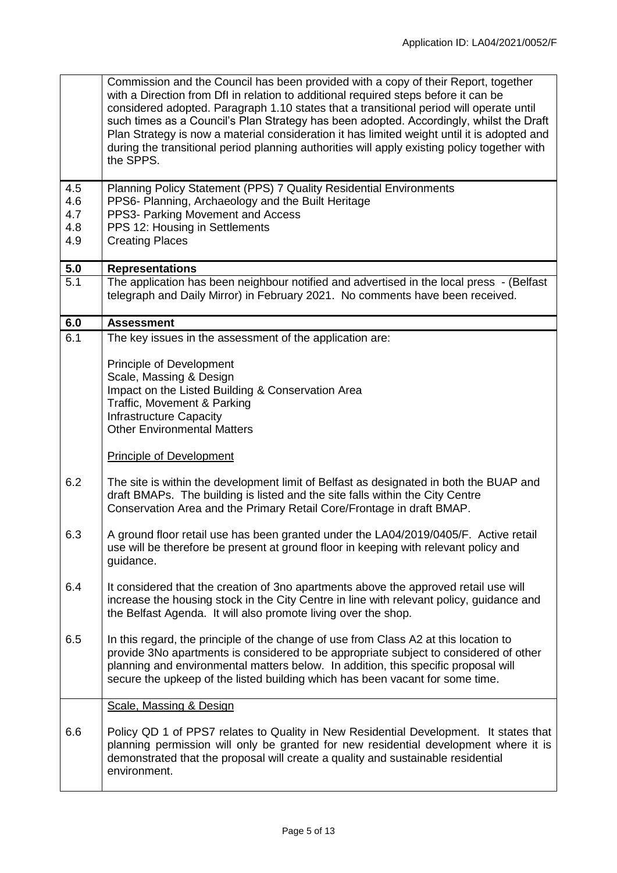|                  | Commission and the Council has been provided with a copy of their Report, together<br>with a Direction from DfI in relation to additional required steps before it can be<br>considered adopted. Paragraph 1.10 states that a transitional period will operate until<br>such times as a Council's Plan Strategy has been adopted. Accordingly, whilst the Draft<br>Plan Strategy is now a material consideration it has limited weight until it is adopted and<br>during the transitional period planning authorities will apply existing policy together with<br>the SPPS. |
|------------------|-----------------------------------------------------------------------------------------------------------------------------------------------------------------------------------------------------------------------------------------------------------------------------------------------------------------------------------------------------------------------------------------------------------------------------------------------------------------------------------------------------------------------------------------------------------------------------|
| 4.5              | Planning Policy Statement (PPS) 7 Quality Residential Environments                                                                                                                                                                                                                                                                                                                                                                                                                                                                                                          |
| 4.6<br>4.7       | PPS6- Planning, Archaeology and the Built Heritage<br>PPS3- Parking Movement and Access                                                                                                                                                                                                                                                                                                                                                                                                                                                                                     |
| 4.8              | PPS 12: Housing in Settlements                                                                                                                                                                                                                                                                                                                                                                                                                                                                                                                                              |
| 4.9              | <b>Creating Places</b>                                                                                                                                                                                                                                                                                                                                                                                                                                                                                                                                                      |
| 5.0              | <b>Representations</b>                                                                                                                                                                                                                                                                                                                                                                                                                                                                                                                                                      |
| $\overline{5.1}$ | The application has been neighbour notified and advertised in the local press - (Belfast<br>telegraph and Daily Mirror) in February 2021. No comments have been received.                                                                                                                                                                                                                                                                                                                                                                                                   |
| 6.0              | <b>Assessment</b>                                                                                                                                                                                                                                                                                                                                                                                                                                                                                                                                                           |
| 6.1              | The key issues in the assessment of the application are:<br>Principle of Development<br>Scale, Massing & Design<br>Impact on the Listed Building & Conservation Area<br>Traffic, Movement & Parking<br><b>Infrastructure Capacity</b><br><b>Other Environmental Matters</b>                                                                                                                                                                                                                                                                                                 |
|                  | <b>Principle of Development</b>                                                                                                                                                                                                                                                                                                                                                                                                                                                                                                                                             |
| 6.2              | The site is within the development limit of Belfast as designated in both the BUAP and<br>draft BMAPs. The building is listed and the site falls within the City Centre<br>Conservation Area and the Primary Retail Core/Frontage in draft BMAP.                                                                                                                                                                                                                                                                                                                            |
| 6.3              | A ground floor retail use has been granted under the LA04/2019/0405/F. Active retail<br>use will be therefore be present at ground floor in keeping with relevant policy and<br>guidance.                                                                                                                                                                                                                                                                                                                                                                                   |
| 6.4              | It considered that the creation of 3no apartments above the approved retail use will<br>increase the housing stock in the City Centre in line with relevant policy, guidance and<br>the Belfast Agenda. It will also promote living over the shop.                                                                                                                                                                                                                                                                                                                          |
| 6.5              | In this regard, the principle of the change of use from Class A2 at this location to<br>provide 3No apartments is considered to be appropriate subject to considered of other<br>planning and environmental matters below. In addition, this specific proposal will<br>secure the upkeep of the listed building which has been vacant for some time.                                                                                                                                                                                                                        |
|                  | Scale, Massing & Design                                                                                                                                                                                                                                                                                                                                                                                                                                                                                                                                                     |
| 6.6              | Policy QD 1 of PPS7 relates to Quality in New Residential Development. It states that<br>planning permission will only be granted for new residential development where it is<br>demonstrated that the proposal will create a quality and sustainable residential<br>environment.                                                                                                                                                                                                                                                                                           |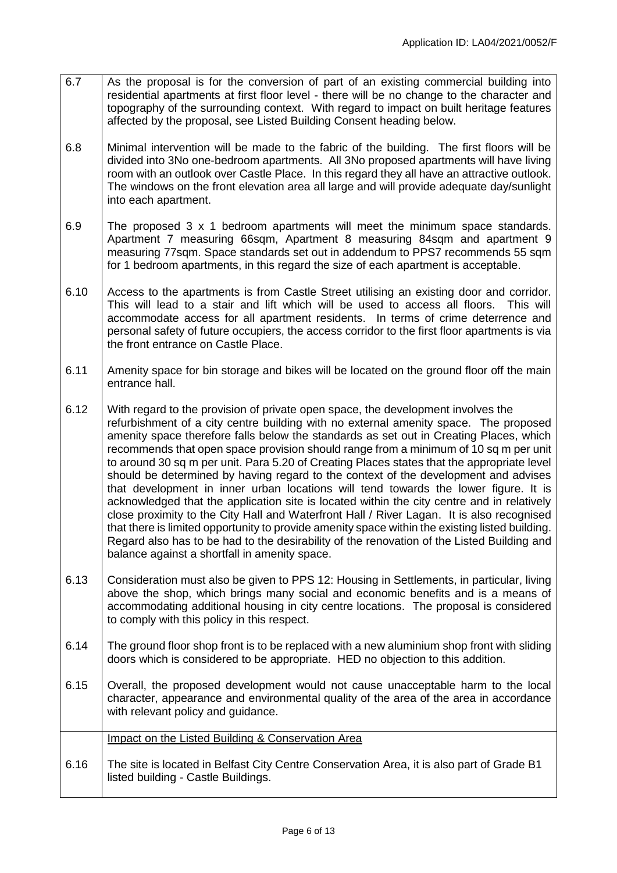- 6.7 As the proposal is for the conversion of part of an existing commercial building into residential apartments at first floor level - there will be no change to the character and topography of the surrounding context. With regard to impact on built heritage features affected by the proposal, see Listed Building Consent heading below.
- 6.8 Minimal intervention will be made to the fabric of the building. The first floors will be divided into 3No one-bedroom apartments. All 3No proposed apartments will have living room with an outlook over Castle Place. In this regard they all have an attractive outlook. The windows on the front elevation area all large and will provide adequate day/sunlight into each apartment.
- 6.9 The proposed 3 x 1 bedroom apartments will meet the minimum space standards. Apartment 7 measuring 66sqm, Apartment 8 measuring 84sqm and apartment 9 measuring 77sqm. Space standards set out in addendum to PPS7 recommends 55 sqm for 1 bedroom apartments, in this regard the size of each apartment is acceptable.
- 6.10 Access to the apartments is from Castle Street utilising an existing door and corridor. This will lead to a stair and lift which will be used to access all floors. This will accommodate access for all apartment residents. In terms of crime deterrence and personal safety of future occupiers, the access corridor to the first floor apartments is via the front entrance on Castle Place.
- 6.11 Amenity space for bin storage and bikes will be located on the ground floor off the main entrance hall.
- 6.12 With regard to the provision of private open space, the development involves the refurbishment of a city centre building with no external amenity space. The proposed amenity space therefore falls below the standards as set out in Creating Places, which recommends that open space provision should range from a minimum of 10 sq m per unit to around 30 sq m per unit. Para 5.20 of Creating Places states that the appropriate level should be determined by having regard to the context of the development and advises that development in inner urban locations will tend towards the lower figure. It is acknowledged that the application site is located within the city centre and in relatively close proximity to the City Hall and Waterfront Hall / River Lagan. It is also recognised that there is limited opportunity to provide amenity space within the existing listed building. Regard also has to be had to the desirability of the renovation of the Listed Building and balance against a shortfall in amenity space.
- 6.13 Consideration must also be given to PPS 12: Housing in Settlements, in particular, living above the shop, which brings many social and economic benefits and is a means of accommodating additional housing in city centre locations. The proposal is considered to comply with this policy in this respect.
- 6.14 The ground floor shop front is to be replaced with a new aluminium shop front with sliding doors which is considered to be appropriate. HED no objection to this addition.
- 6.15 Overall, the proposed development would not cause unacceptable harm to the local character, appearance and environmental quality of the area of the area in accordance with relevant policy and quidance.

|      | Impact on the Listed Building & Conservation Area                                                                                |
|------|----------------------------------------------------------------------------------------------------------------------------------|
| 6.16 | The site is located in Belfast City Centre Conservation Area, it is also part of Grade B1<br>listed building - Castle Buildings. |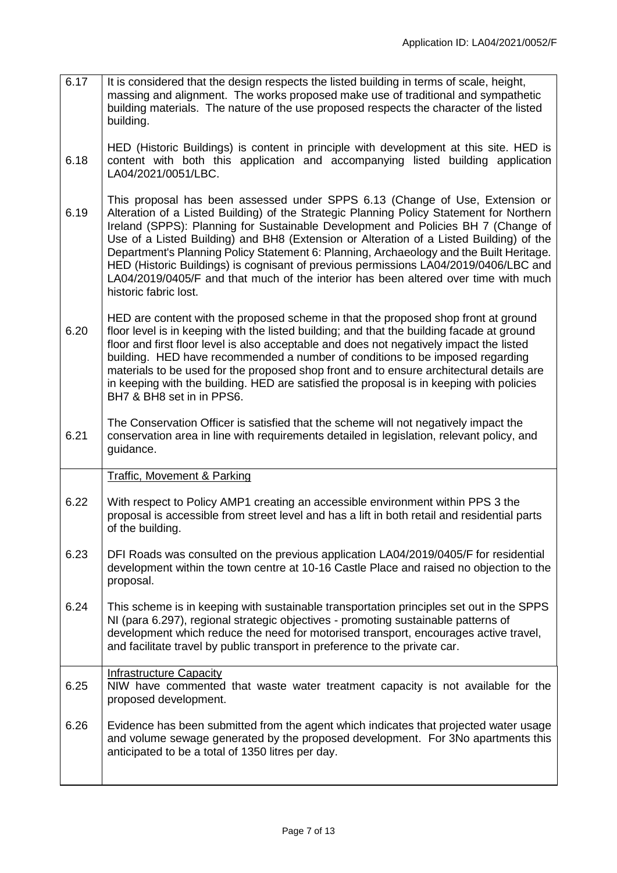6.17 It is considered that the design respects the listed building in terms of scale, height, massing and alignment. The works proposed make use of traditional and sympathetic building materials. The nature of the use proposed respects the character of the listed building.

6.18 HED (Historic Buildings) is content in principle with development at this site. HED is content with both this application and accompanying listed building application LA04/2021/0051/LBC.

- 6.19 This proposal has been assessed under SPPS 6.13 (Change of Use, Extension or Alteration of a Listed Building) of the Strategic Planning Policy Statement for Northern Ireland (SPPS): Planning for Sustainable Development and Policies BH 7 (Change of Use of a Listed Building) and BH8 (Extension or Alteration of a Listed Building) of the Department's Planning Policy Statement 6: Planning, Archaeology and the Built Heritage. HED (Historic Buildings) is cognisant of previous permissions LA04/2019/0406/LBC and LA04/2019/0405/F and that much of the interior has been altered over time with much historic fabric lost.
- 6.20 HED are content with the proposed scheme in that the proposed shop front at ground floor level is in keeping with the listed building; and that the building facade at ground floor and first floor level is also acceptable and does not negatively impact the listed building. HED have recommended a number of conditions to be imposed regarding materials to be used for the proposed shop front and to ensure architectural details are in keeping with the building. HED are satisfied the proposal is in keeping with policies BH7 & BH8 set in in PPS6.
- 6.21 The Conservation Officer is satisfied that the scheme will not negatively impact the conservation area in line with requirements detailed in legislation, relevant policy, and guidance.

Traffic, Movement & Parking

- 6.22 With respect to Policy AMP1 creating an accessible environment within PPS 3 the proposal is accessible from street level and has a lift in both retail and residential parts of the building.
- 6.23 DFI Roads was consulted on the previous application LA04/2019/0405/F for residential development within the town centre at 10-16 Castle Place and raised no objection to the proposal.
- 6.24 This scheme is in keeping with sustainable transportation principles set out in the SPPS NI (para 6.297), regional strategic objectives - promoting sustainable patterns of development which reduce the need for motorised transport, encourages active travel, and facilitate travel by public transport in preference to the private car.

## Infrastructure Capacity

- 6.25 NIW have commented that waste water treatment capacity is not available for the proposed development.
- 6.26 Evidence has been submitted from the agent which indicates that projected water usage and volume sewage generated by the proposed development. For 3No apartments this anticipated to be a total of 1350 litres per day.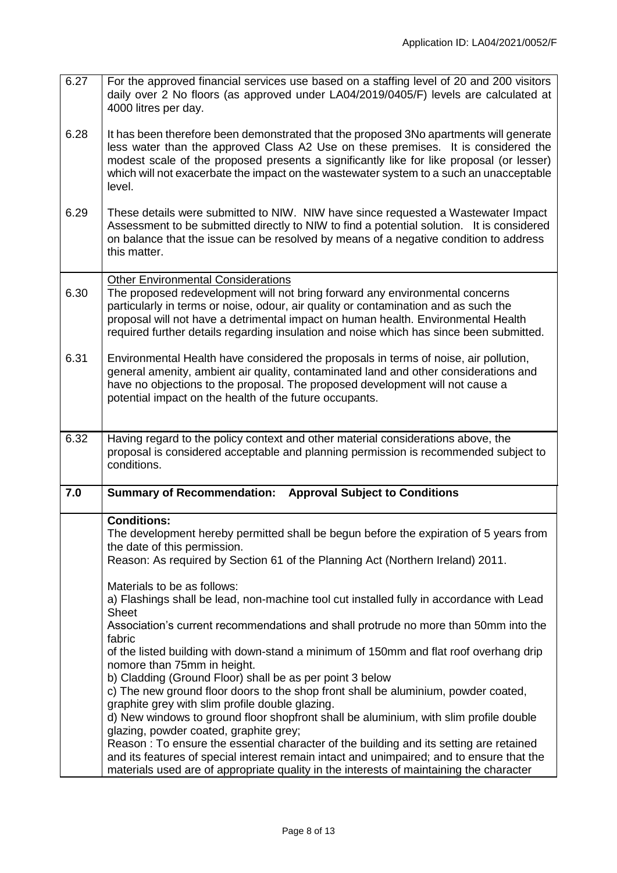| 6.27 | For the approved financial services use based on a staffing level of 20 and 200 visitors<br>daily over 2 No floors (as approved under LA04/2019/0405/F) levels are calculated at<br>4000 litres per day.                                                                                                                                                                                         |
|------|--------------------------------------------------------------------------------------------------------------------------------------------------------------------------------------------------------------------------------------------------------------------------------------------------------------------------------------------------------------------------------------------------|
| 6.28 | It has been therefore been demonstrated that the proposed 3No apartments will generate<br>less water than the approved Class A2 Use on these premises. It is considered the<br>modest scale of the proposed presents a significantly like for like proposal (or lesser)<br>which will not exacerbate the impact on the wastewater system to a such an unacceptable<br>level.                     |
| 6.29 | These details were submitted to NIW. NIW have since requested a Wastewater Impact<br>Assessment to be submitted directly to NIW to find a potential solution. It is considered<br>on balance that the issue can be resolved by means of a negative condition to address<br>this matter.                                                                                                          |
| 6.30 | <b>Other Environmental Considerations</b><br>The proposed redevelopment will not bring forward any environmental concerns<br>particularly in terms or noise, odour, air quality or contamination and as such the<br>proposal will not have a detrimental impact on human health. Environmental Health<br>required further details regarding insulation and noise which has since been submitted. |
| 6.31 | Environmental Health have considered the proposals in terms of noise, air pollution,<br>general amenity, ambient air quality, contaminated land and other considerations and<br>have no objections to the proposal. The proposed development will not cause a<br>potential impact on the health of the future occupants.                                                                         |
| 6.32 | Having regard to the policy context and other material considerations above, the<br>proposal is considered acceptable and planning permission is recommended subject to<br>conditions.                                                                                                                                                                                                           |
| 7.0  | <b>Summary of Recommendation:</b><br><b>Approval Subject to Conditions</b>                                                                                                                                                                                                                                                                                                                       |
|      | <b>Conditions:</b><br>The development hereby permitted shall be begun before the expiration of 5 years from<br>the date of this permission.<br>Reason: As required by Section 61 of the Planning Act (Northern Ireland) 2011.                                                                                                                                                                    |
|      | Materials to be as follows:<br>a) Flashings shall be lead, non-machine tool cut installed fully in accordance with Lead<br><b>Sheet</b>                                                                                                                                                                                                                                                          |
|      | Association's current recommendations and shall protrude no more than 50mm into the<br>fabric<br>of the listed building with down-stand a minimum of 150mm and flat roof overhang drip                                                                                                                                                                                                           |
|      | nomore than 75mm in height.<br>b) Cladding (Ground Floor) shall be as per point 3 below                                                                                                                                                                                                                                                                                                          |
|      | c) The new ground floor doors to the shop front shall be aluminium, powder coated,<br>graphite grey with slim profile double glazing.                                                                                                                                                                                                                                                            |
|      |                                                                                                                                                                                                                                                                                                                                                                                                  |
|      | d) New windows to ground floor shopfront shall be aluminium, with slim profile double<br>glazing, powder coated, graphite grey;<br>Reason: To ensure the essential character of the building and its setting are retained                                                                                                                                                                        |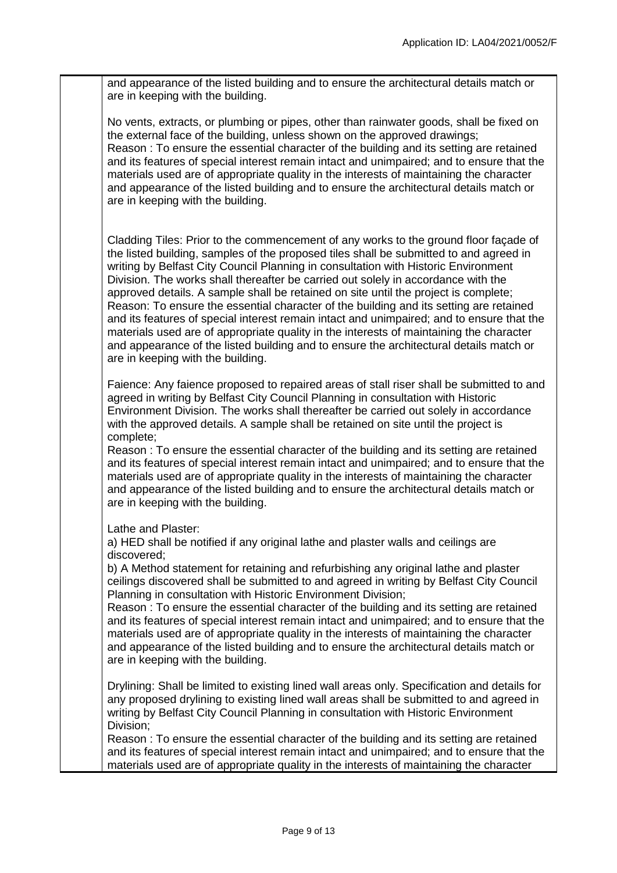and appearance of the listed building and to ensure the architectural details match or are in keeping with the building.

No vents, extracts, or plumbing or pipes, other than rainwater goods, shall be fixed on the external face of the building, unless shown on the approved drawings; Reason : To ensure the essential character of the building and its setting are retained and its features of special interest remain intact and unimpaired; and to ensure that the materials used are of appropriate quality in the interests of maintaining the character and appearance of the listed building and to ensure the architectural details match or are in keeping with the building.

Cladding Tiles: Prior to the commencement of any works to the ground floor façade of the listed building, samples of the proposed tiles shall be submitted to and agreed in writing by Belfast City Council Planning in consultation with Historic Environment Division. The works shall thereafter be carried out solely in accordance with the approved details. A sample shall be retained on site until the project is complete; Reason: To ensure the essential character of the building and its setting are retained and its features of special interest remain intact and unimpaired; and to ensure that the materials used are of appropriate quality in the interests of maintaining the character and appearance of the listed building and to ensure the architectural details match or are in keeping with the building.

Faience: Any faience proposed to repaired areas of stall riser shall be submitted to and agreed in writing by Belfast City Council Planning in consultation with Historic Environment Division. The works shall thereafter be carried out solely in accordance with the approved details. A sample shall be retained on site until the project is complete;

Reason : To ensure the essential character of the building and its setting are retained and its features of special interest remain intact and unimpaired; and to ensure that the materials used are of appropriate quality in the interests of maintaining the character and appearance of the listed building and to ensure the architectural details match or are in keeping with the building.

Lathe and Plaster:

a) HED shall be notified if any original lathe and plaster walls and ceilings are discovered;

b) A Method statement for retaining and refurbishing any original lathe and plaster ceilings discovered shall be submitted to and agreed in writing by Belfast City Council Planning in consultation with Historic Environment Division;

Reason : To ensure the essential character of the building and its setting are retained and its features of special interest remain intact and unimpaired; and to ensure that the materials used are of appropriate quality in the interests of maintaining the character and appearance of the listed building and to ensure the architectural details match or are in keeping with the building.

Drylining: Shall be limited to existing lined wall areas only. Specification and details for any proposed drylining to existing lined wall areas shall be submitted to and agreed in writing by Belfast City Council Planning in consultation with Historic Environment Division;

Reason : To ensure the essential character of the building and its setting are retained and its features of special interest remain intact and unimpaired; and to ensure that the materials used are of appropriate quality in the interests of maintaining the character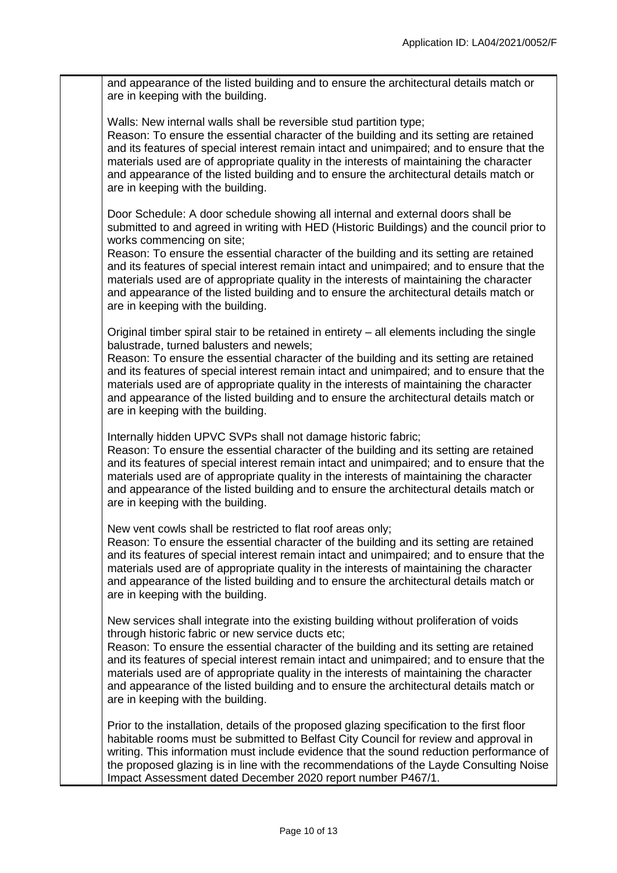and appearance of the listed building and to ensure the architectural details match or are in keeping with the building.

Walls: New internal walls shall be reversible stud partition type:

Reason: To ensure the essential character of the building and its setting are retained and its features of special interest remain intact and unimpaired; and to ensure that the materials used are of appropriate quality in the interests of maintaining the character and appearance of the listed building and to ensure the architectural details match or are in keeping with the building.

Door Schedule: A door schedule showing all internal and external doors shall be submitted to and agreed in writing with HED (Historic Buildings) and the council prior to works commencing on site;

Reason: To ensure the essential character of the building and its setting are retained and its features of special interest remain intact and unimpaired; and to ensure that the materials used are of appropriate quality in the interests of maintaining the character and appearance of the listed building and to ensure the architectural details match or are in keeping with the building.

Original timber spiral stair to be retained in entirety – all elements including the single balustrade, turned balusters and newels;

Reason: To ensure the essential character of the building and its setting are retained and its features of special interest remain intact and unimpaired; and to ensure that the materials used are of appropriate quality in the interests of maintaining the character and appearance of the listed building and to ensure the architectural details match or are in keeping with the building.

Internally hidden UPVC SVPs shall not damage historic fabric;

Reason: To ensure the essential character of the building and its setting are retained and its features of special interest remain intact and unimpaired; and to ensure that the materials used are of appropriate quality in the interests of maintaining the character and appearance of the listed building and to ensure the architectural details match or are in keeping with the building.

New vent cowls shall be restricted to flat roof areas only;

Reason: To ensure the essential character of the building and its setting are retained and its features of special interest remain intact and unimpaired; and to ensure that the materials used are of appropriate quality in the interests of maintaining the character and appearance of the listed building and to ensure the architectural details match or are in keeping with the building.

New services shall integrate into the existing building without proliferation of voids through historic fabric or new service ducts etc;

Reason: To ensure the essential character of the building and its setting are retained and its features of special interest remain intact and unimpaired; and to ensure that the materials used are of appropriate quality in the interests of maintaining the character and appearance of the listed building and to ensure the architectural details match or are in keeping with the building.

Prior to the installation, details of the proposed glazing specification to the first floor habitable rooms must be submitted to Belfast City Council for review and approval in writing. This information must include evidence that the sound reduction performance of the proposed glazing is in line with the recommendations of the Layde Consulting Noise Impact Assessment dated December 2020 report number P467/1.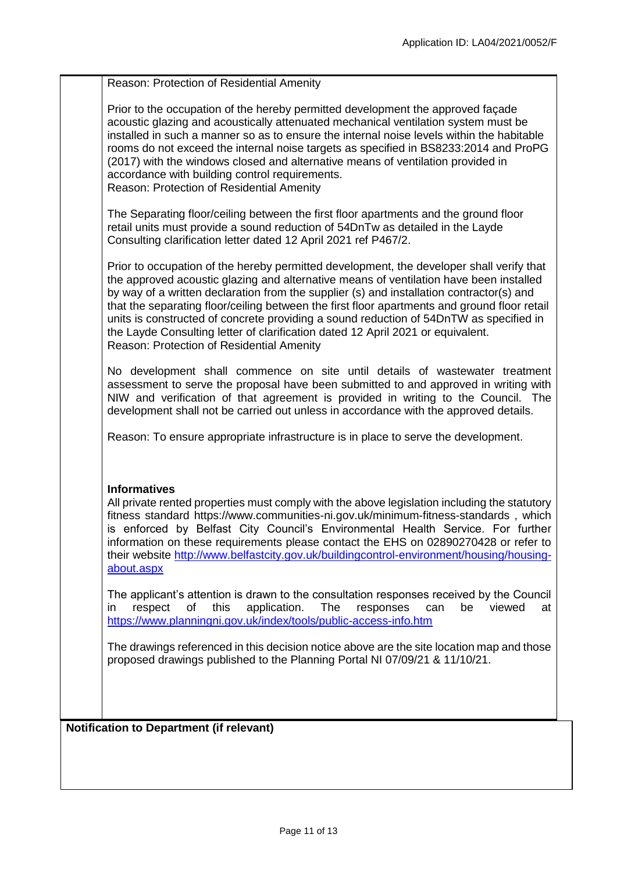| Reason: Protection of Residential Amenity                                                                                                                                                                                                                                                                                                                                                                                                                                                                                                                                                                |
|----------------------------------------------------------------------------------------------------------------------------------------------------------------------------------------------------------------------------------------------------------------------------------------------------------------------------------------------------------------------------------------------------------------------------------------------------------------------------------------------------------------------------------------------------------------------------------------------------------|
| Prior to the occupation of the hereby permitted development the approved façade<br>acoustic glazing and acoustically attenuated mechanical ventilation system must be<br>installed in such a manner so as to ensure the internal noise levels within the habitable<br>rooms do not exceed the internal noise targets as specified in BS8233:2014 and ProPG<br>(2017) with the windows closed and alternative means of ventilation provided in<br>accordance with building control requirements.<br>Reason: Protection of Residential Amenity                                                             |
| The Separating floor/ceiling between the first floor apartments and the ground floor<br>retail units must provide a sound reduction of 54DnTw as detailed in the Layde<br>Consulting clarification letter dated 12 April 2021 ref P467/2.                                                                                                                                                                                                                                                                                                                                                                |
| Prior to occupation of the hereby permitted development, the developer shall verify that<br>the approved acoustic glazing and alternative means of ventilation have been installed<br>by way of a written declaration from the supplier (s) and installation contractor(s) and<br>that the separating floor/ceiling between the first floor apartments and ground floor retail<br>units is constructed of concrete providing a sound reduction of 54DnTW as specified in<br>the Layde Consulting letter of clarification dated 12 April 2021 or equivalent.<br>Reason: Protection of Residential Amenity |
| No development shall commence on site until details of wastewater treatment<br>assessment to serve the proposal have been submitted to and approved in writing with<br>NIW and verification of that agreement is provided in writing to the Council. The<br>development shall not be carried out unless in accordance with the approved details.                                                                                                                                                                                                                                                         |
| Reason: To ensure appropriate infrastructure is in place to serve the development.                                                                                                                                                                                                                                                                                                                                                                                                                                                                                                                       |
| <b>Informatives</b><br>All private rented properties must comply with the above legislation including the statutory<br>fitness standard https://www.communities-ni.gov.uk/minimum-fitness-standards, which<br>is enforced by Belfast City Council's Environmental Health Service. For further<br>information on these requirements please contact the EHS on 02890270428 or refer to<br>their website http://www.belfastcity.gov.uk/buildingcontrol-environment/housing/housing-<br>about.aspx                                                                                                           |
| The applicant's attention is drawn to the consultation responses received by the Council<br>this<br>application.<br>The<br>responses<br>viewed<br>respect<br>of<br>can<br>be<br>at<br>in<br>https://www.planningni.gov.uk/index/tools/public-access-info.htm                                                                                                                                                                                                                                                                                                                                             |
| The drawings referenced in this decision notice above are the site location map and those<br>proposed drawings published to the Planning Portal NI 07/09/21 & 11/10/21.                                                                                                                                                                                                                                                                                                                                                                                                                                  |
|                                                                                                                                                                                                                                                                                                                                                                                                                                                                                                                                                                                                          |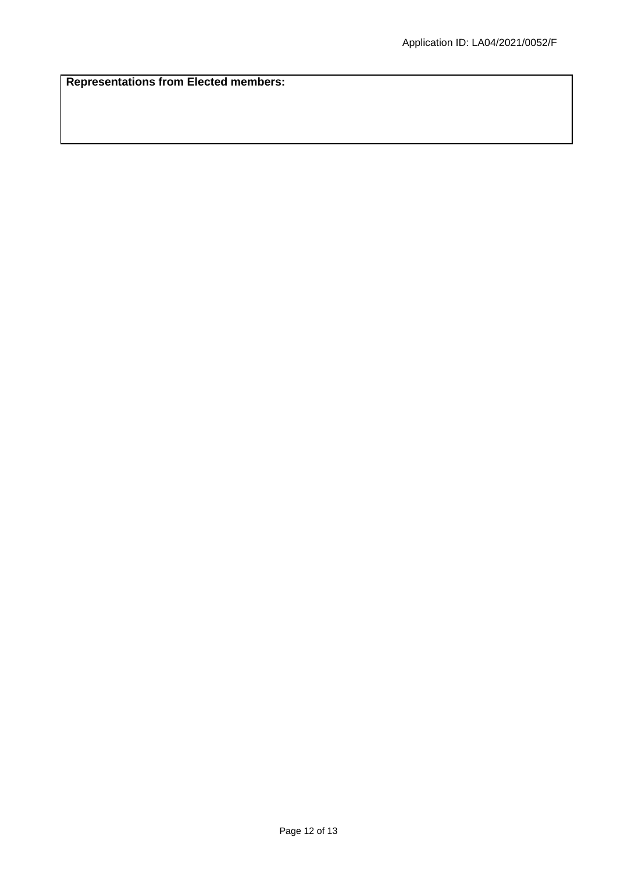**Representations from Elected members:**